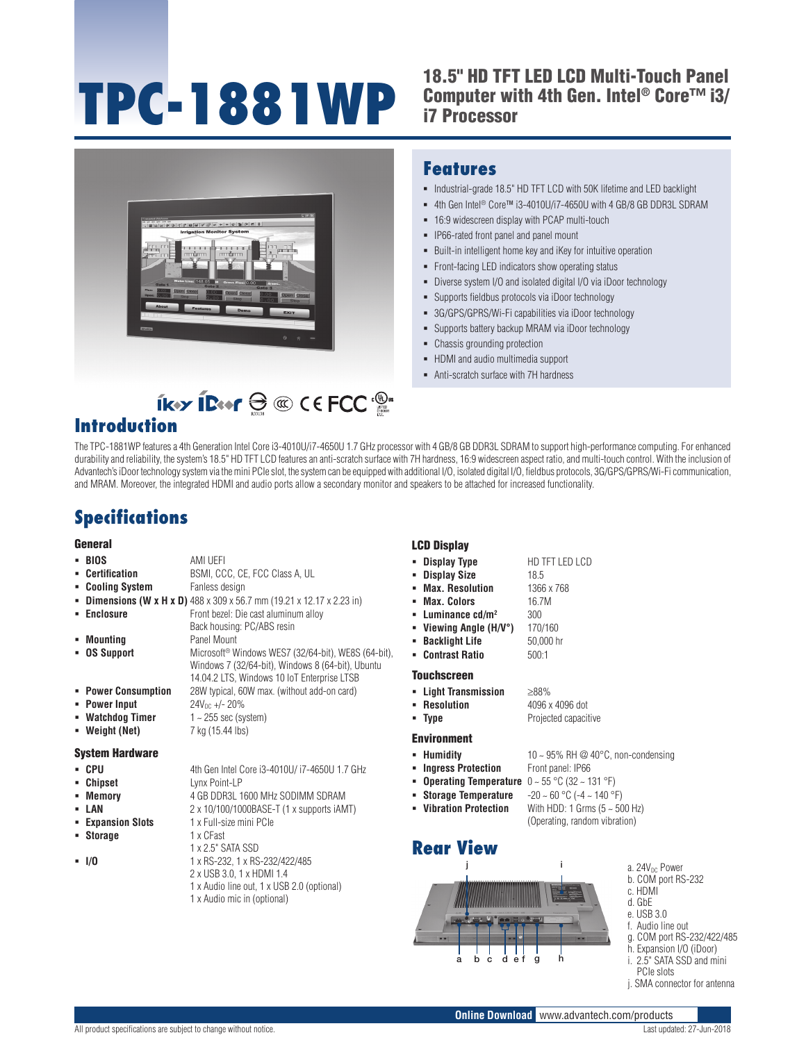# **TPC-1881WP**

#### 18.5" HD TFT LED LCD Multi-Touch Panel Computer with 4th Gen. Intel® Core™ i3/ i7 Processor



#### **Features**

- $\blacksquare$  Industrial-grade 18.5" HD TFT LCD with 50K lifetime and LED backlight
- 4th Gen Intel<sup>®</sup> Core™ i3-4010U/i7-4650U with 4 GB/8 GB DDR3L SDRAM
- 16:9 widescreen display with PCAP multi-touch
- **IP66-rated front panel and panel mount**
- Built-in intelligent home key and iKey for intuitive operation
- Front-facing LED indicators show operating status
- Diverse system I/O and isolated digital I/O via iDoor technology
- Supports fieldbus protocols via iDoor technology
- 3G/GPS/GPRS/Wi-Fi capabilities via iDoor technology
- **Supports battery backup MRAM via iDoor technology**
- Chassis grounding protection
- HDMI and audio multimedia support
- Anti-scratch surface with 7H hardness

### $ikx$  iBer  $\bigoplus_{i=1}^n C_i \in FCC$ **Introduction**

The TPC-1881WP features a 4th Generation Intel Core i3-4010U/i7-4650U 1.7 GHz processor with 4 GB/8 GB DDR3L SDRAM to support high-performance computing. For enhanced durability and reliability, the system's 18.5" HD TFT LCD features an anti-scratch surface with 7H hardness, 16:9 widescreen aspect ratio, and multi-touch control. With the inclusion of Advantech's iDoor technology system via the mini PCIe slot, the system can be equipped with additional I/O, isolated digital I/O, fieldbus protocols, 3G/GPS/GPRS/Wi-Fi communication, and MRAM. Moreover, the integrated HDMI and audio ports allow a secondary monitor and speakers to be attached for increased functionality.

# **Specifications**

#### General

|                        |                                                                                                                      | ьчи изран                                  |
|------------------------|----------------------------------------------------------------------------------------------------------------------|--------------------------------------------|
| - BIOS                 | AMI UEFI                                                                                                             | • Display Type                             |
| • Certification        | BSMI, CCC, CE, FCC Class A, UL                                                                                       | <b>Display Size</b><br>٠                   |
| • Cooling System       | Fanless design                                                                                                       | <b>Max. Resolution</b>                     |
|                        | <b>Dimensions (W x H x D)</b> 488 x 309 x 56.7 mm (19.21 x 12.17 x 2.23 in)                                          | <b>Max. Colors</b>                         |
| <b>Enclosure</b>       | Front bezel: Die cast aluminum alloy                                                                                 | $\blacksquare$ Luminance cd/m <sup>2</sup> |
|                        | Back housing: PC/ABS resin                                                                                           | • Viewing Angle (H/\                       |
| Mounting               | Panel Mount                                                                                                          | <b>Backlight Life</b>                      |
| • OS Support           | Microsoft <sup>®</sup> Windows WES7 (32/64-bit), WE8S (64-bit),<br>Windows 7 (32/64-bit), Windows 8 (64-bit), Ubuntu | <b>Contrast Ratio</b><br>٠.                |
|                        | 14.04.2 LTS, Windows 10 IoT Enterprise LTSB                                                                          | <b>Touchscreen</b>                         |
| • Power Consumption    | 28W typical, 60W max. (without add-on card)                                                                          | • Light Transmission                       |
| • Power Input          | $24V_{DC}$ +/- 20%                                                                                                   | • Resolution                               |
| • Watchdog Timer       | $1 - 255$ sec (system)                                                                                               | • Type                                     |
| • Weight (Net)         | 7 kg (15.44 lbs)                                                                                                     |                                            |
|                        |                                                                                                                      | <b>Environment</b>                         |
| <b>System Hardware</b> |                                                                                                                      | • Humidity                                 |
| • CPU                  | 4th Gen Intel Core i3-4010U/ i7-4650U 1.7 GHz                                                                        | <b>Ingress Protection</b>                  |
| Chipset                | Lynx Point-LP                                                                                                        | <b>Operating Tempera</b>                   |
| Memory                 | 4 GB DDR3L 1600 MHz SODIMM SDRAM                                                                                     | <b>Storage Temperatu</b>                   |
| - LAN                  | 2 x 10/100/1000BASE-T (1 x supports iAMT)                                                                            | <b>Vibration Protectio</b>                 |
| <b>Expansion Slots</b> | 1 x Full-size mini PCIe                                                                                              |                                            |
| <b>Storage</b>         | 1 x CFast                                                                                                            |                                            |
|                        | 1 x 2.5" SATA SSD                                                                                                    | <b>Rear View</b>                           |

- 
- **I/O** 1 x RS-232, 1 x RS-232/422/485 2 x USB 3.0, 1 x HDMI 1.4 1 x Audio line out, 1 x USB 2.0 (optional) 1 x Audio mic in (optional)

#### LCD Display

- 
- **Viewing Angle (H/V°)** 170/160 **Backlight Life** 50,000 hr
- **Contrast Ratio** 500:1
	- **Light Transmission** ≥88%
		- **Resolution** 4096 x 4096 dot Projected capacitive
	- -
	- - (Operating, random vibration)

#### **Rear View**

- a b c d ef gh j i
- a. 24V<sub>DC</sub> Power b. COM port RS-232
- c. HDMI
- d. GbE
- e. USB 3.0
- f. Audio line out
- g. COM port RS-232/422/485 h. Expansion I/O (iDoor)
- i. 2.5" SATA SSD and mini
- PCIe slots
- j. SMA connector for antenna



- 
- **Humidity** 10 ~ 95% RH @ 40°C, non-condensing **Front panel: IP66**

**HD TFT LED LCD** 

 **Display Size** 18.5 **Max. Resolution** 1366 x 768 **Max. Colors** 16.7M **Luminance cd/m2** 300

- **Iture**  $0 \sim 55 \text{ °C} (32 \sim 131 \text{ °F})$
- **Ire**  $-20 \sim 60 \degree C (-4 \sim 140 \degree F)$
- **n** With HDD: 1 Grms  $(5 \sim 500 \text{ Hz})$ 
	- -